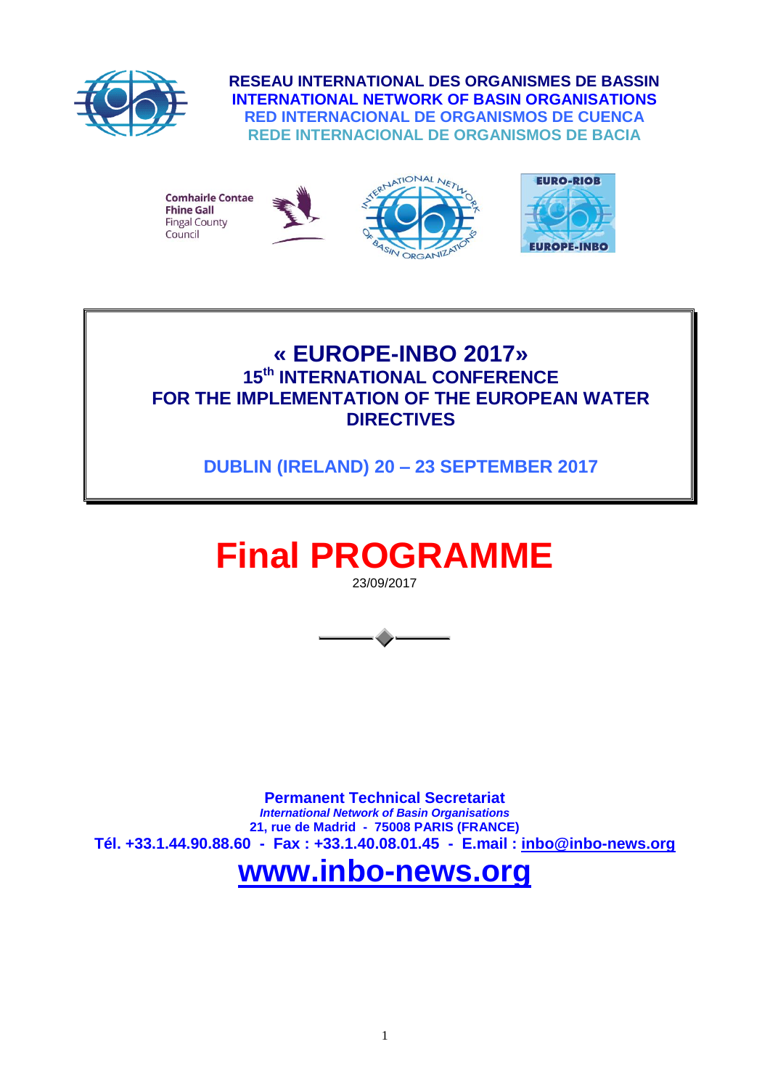

**RESEAU INTERNATIONAL DES ORGANISMES DE BASSIN INTERNATIONAL NETWORK OF BASIN ORGANISATIONS RED INTERNACIONAL DE ORGANISMOS DE CUENCA REDE INTERNACIONAL DE ORGANISMOS DE BACIA**



### **« EUROPE-INBO 2017» 15 th INTERNATIONAL CONFERENCE FOR THE IMPLEMENTATION OF THE EUROPEAN WATER DIRECTIVES**

**DUBLIN (IRELAND) 20 – 23 SEPTEMBER 2017**

# **Final PROGRAMME**

23/09/2017



**Permanent Technical Secretariat** *International Network of Basin Organisations*  **21, rue de Madrid - 75008 PARIS (FRANCE) Tél. +33.1.44.90.88.60 - Fax : +33.1.40.08.01.45 - E.mail : [inbo@inbo-news.org](mailto:inbo@inbo-news.org)**

## **[www.inbo-news.org](http://www.inbo-news.org/)**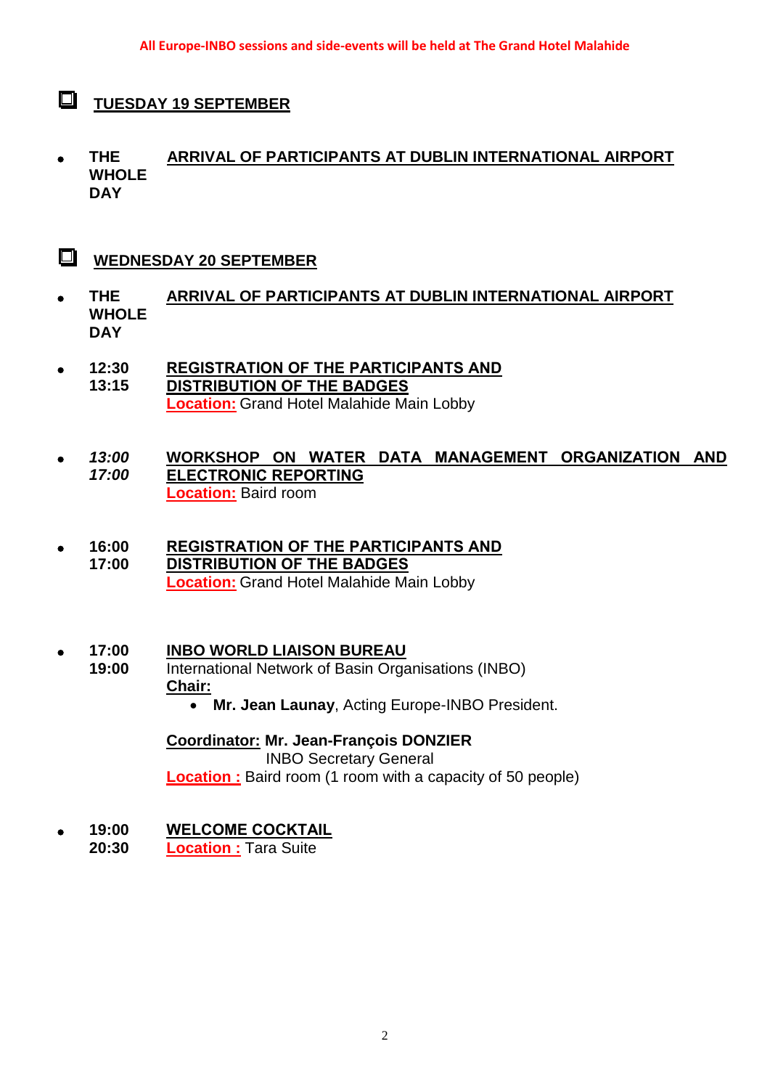- $\Box$ **TUESDAY 19 SEPTEMBER**
- **THE WHOLE DAY ARRIVAL OF PARTICIPANTS AT DUBLIN INTERNATIONAL AIRPORT**
- $\Box$ **WEDNESDAY 20 SEPTEMBER**
- **THE WHOLE DAY ARRIVAL OF PARTICIPANTS AT DUBLIN INTERNATIONAL AIRPORT**
- **12:30 13:15 REGISTRATION OF THE PARTICIPANTS AND DISTRIBUTION OF THE BADGES Location:** Grand Hotel Malahide Main Lobby
- *13:00 17:00* **WORKSHOP ON WATER DATA MANAGEMENT ORGANIZATION AND ELECTRONIC REPORTING Location:** Baird room
- **16:00 17:00 REGISTRATION OF THE PARTICIPANTS AND DISTRIBUTION OF THE BADGES Location:** Grand Hotel Malahide Main Lobby
- **17:00 INBO WORLD LIAISON BUREAU**
	- **19:00** International Network of Basin Organisations (INBO) **Chair:** 
		- **Mr. Jean Launay**, Acting Europe-INBO President.

**Coordinator: Mr. Jean-François DONZIER** INBO Secretary General **Location**: Baird room (1 room with a capacity of 50 people)

- **19:00 WELCOME COCKTAIL**
	- **20:30 Location :** Tara Suite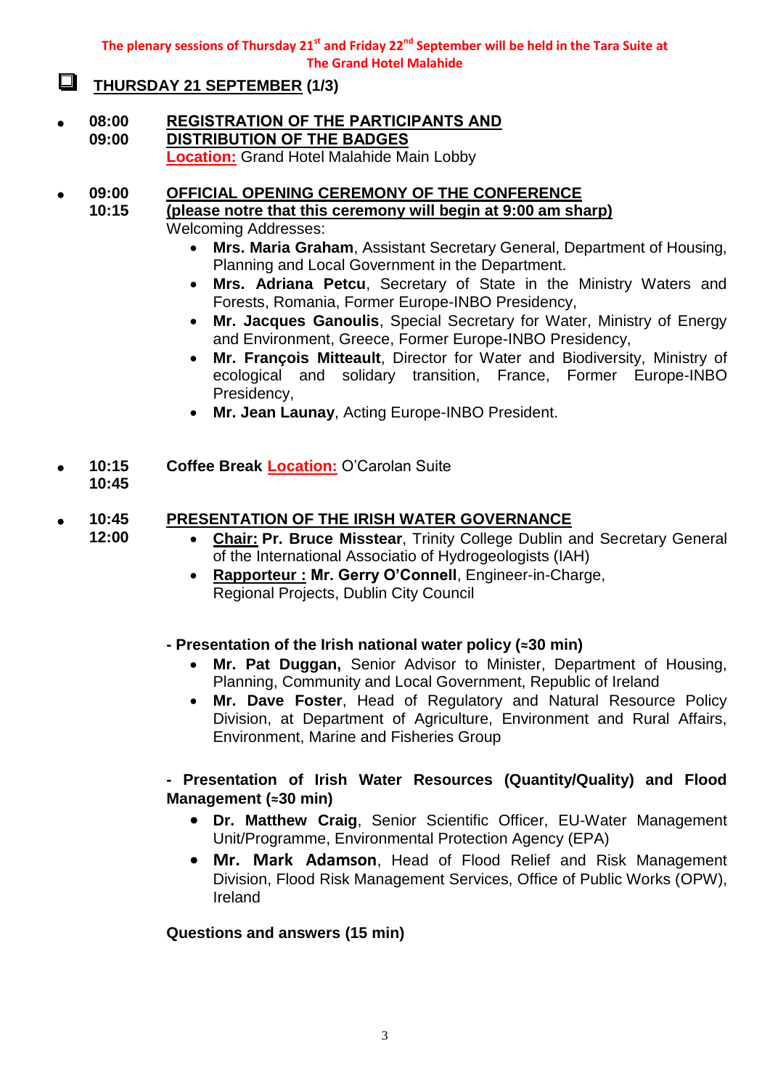**The plenary sessions of Thursday 21st and Friday 22nd September will be held in the Tara Suite at The Grand Hotel Malahide**

#### $\Box$ **THURSDAY 21 SEPTEMBER (1/3)**

 **08:00 09:00 REGISTRATION OF THE PARTICIPANTS AND DISTRIBUTION OF THE BADGES Location:** Grand Hotel Malahide Main Lobby

#### **09:00 OFFICIAL OPENING CEREMONY OF THE CONFERENCE**

**10:15 (please notre that this ceremony will begin at 9:00 am sharp)**

- Welcoming Addresses:
	- **Mrs. Maria Graham**, Assistant Secretary General, Department of Housing, Planning and Local Government in the Department.
	- **Mrs. Adriana Petcu**, Secretary of State in the Ministry Waters and Forests, Romania, Former Europe-INBO Presidency,
	- **Mr. Jacques Ganoulis**, Special Secretary for Water, Ministry of Energy and Environment, Greece, Former Europe-INBO Presidency,
	- **Mr. François Mitteault**, Director for Water and Biodiversity, Ministry of ecological and solidary transition, France, Former Europe-INBO Presidency,
	- **Mr. Jean Launay**, Acting Europe-INBO President.
- **10:15 Coffee Break Location:** O'Carolan Suite
	- **10:45**

#### **10:45 PRESENTATION OF THE IRISH WATER GOVERNANCE**

**12:00**

- **Chair: Pr. Bruce Misstear**, Trinity College Dublin and Secretary General of the International Associatio of Hydrogeologists (IAH)
- **Rapporteur : Mr. Gerry O'Connell**, Engineer-in-Charge, Regional Projects, Dublin City Council

#### **- Presentation of the Irish national water policy (≈30 min)**

- **Mr. Pat Duggan,** Senior Advisor to Minister, Department of Housing, Planning, Community and Local Government, Republic of Ireland
- **Mr. Dave Foster**, Head of Regulatory and Natural Resource Policy Division, at Department of Agriculture, Environment and Rural Affairs, Environment, Marine and Fisheries Group

#### **- Presentation of Irish Water Resources (Quantity/Quality) and Flood Management (≈30 min)**

- **Dr. Matthew Craig**, Senior Scientific Officer, EU-Water Management Unit/Programme, Environmental Protection Agency (EPA)
- **Mr. Mark Adamson**, Head of Flood Relief and Risk Management Division, Flood Risk Management Services, Office of Public Works (OPW), Ireland

#### **Questions and answers (15 min)**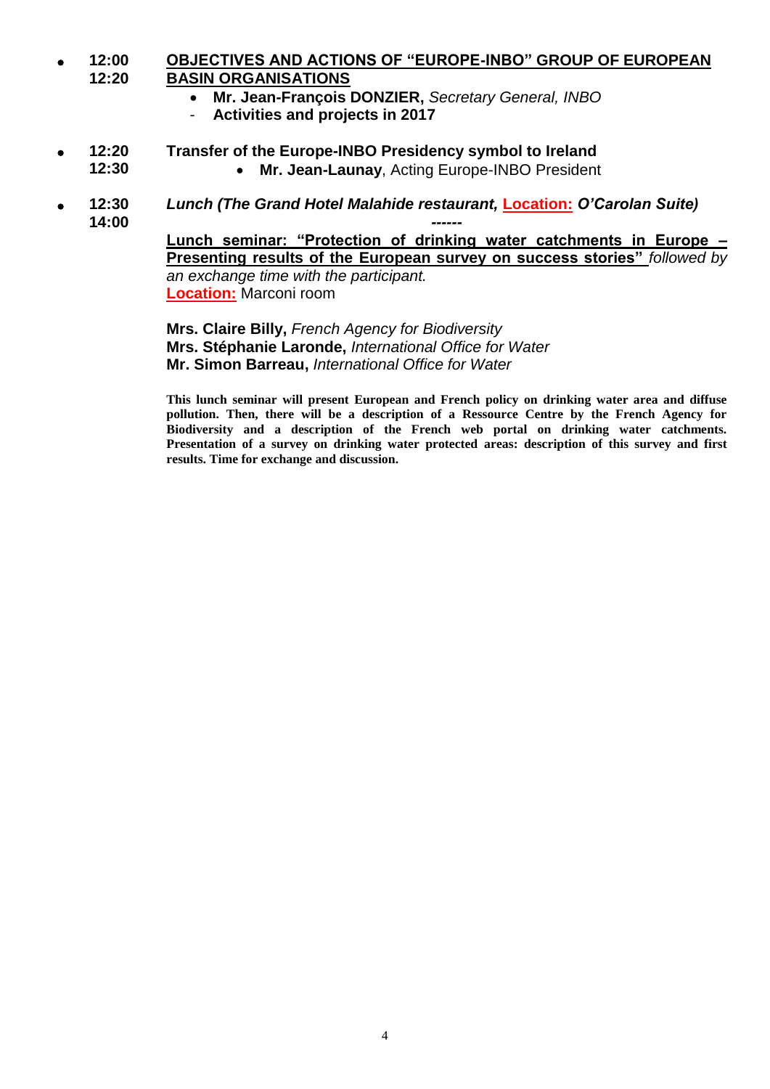#### **12:00 12:20 OBJECTIVES AND ACTIONS OF "EUROPE-INBO" GROUP OF EUROPEAN BASIN ORGANISATIONS**

- **Mr. Jean-François DONZIER,** *Secretary General, INBO*
- **Activities and projects in 2017**

**12:30**

#### **12:20 Transfer of the Europe-INBO Presidency symbol to Ireland**

- **Mr. Jean-Launay**, Acting Europe-INBO President
- **12:30 14:00** *Lunch (The Grand Hotel Malahide restaurant,* **Location:** *O'Carolan Suite) ------*

**Lunch seminar: "Protection of drinking water catchments in Europe – Presenting results of the European survey on success stories"** *followed by an exchange time with the participant.*  **Location:** Marconi room

**Mrs. Claire Billy,** *French Agency for Biodiversity* **Mrs. Stéphanie Laronde,** *International Office for Water* **Mr. Simon Barreau,** *International Office for Water*

**This lunch seminar will present European and French policy on drinking water area and diffuse pollution. Then, there will be a description of a Ressource Centre by the French Agency for Biodiversity and a description of the French web portal on drinking water catchments. Presentation of a survey on drinking water protected areas: description of this survey and first results. Time for exchange and discussion.**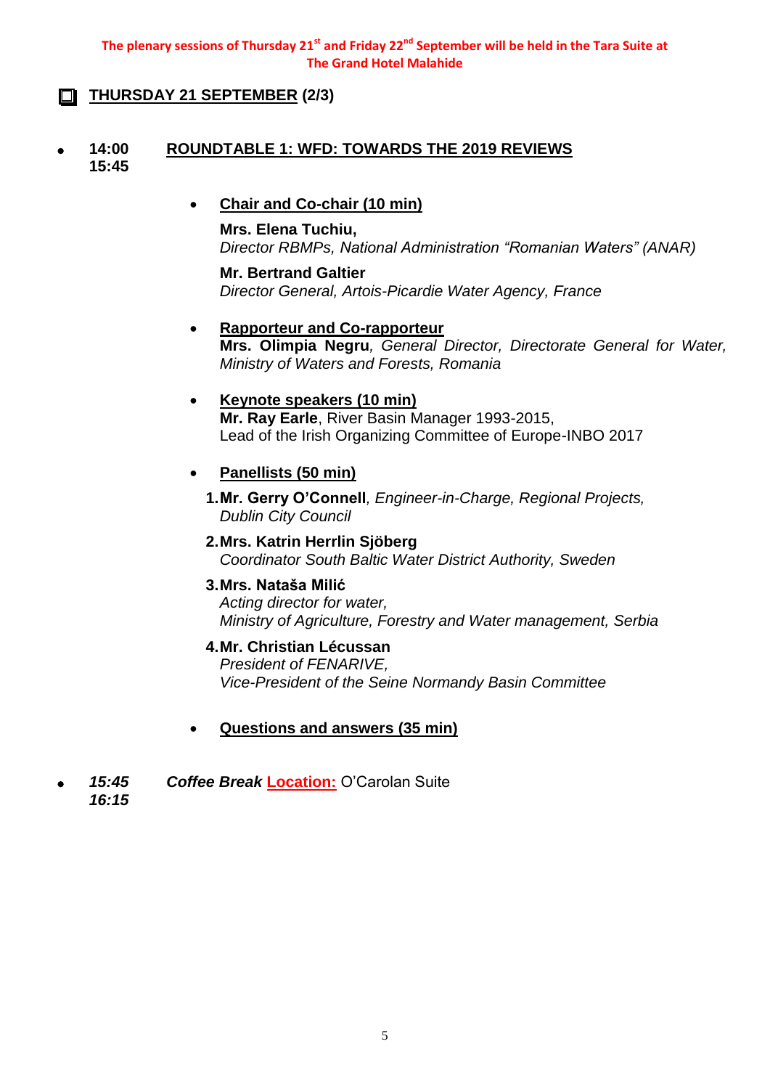#### **The plenary sessions of Thursday 21st and Friday 22nd September will be held in the Tara Suite at The Grand Hotel Malahide**

### **THURSDAY 21 SEPTEMBER (2/3)**

#### **14:00 15:45 ROUNDTABLE 1: WFD: TOWARDS THE 2019 REVIEWS**

#### **Chair and Co-chair (10 min)**

#### **Mrs. Elena Tuchiu,**

*Director RBMPs, National Administration "Romanian Waters" (ANAR)*

**Mr. Bertrand Galtier** *Director General, Artois-Picardie Water Agency, France*

#### **Rapporteur and Co-rapporteur**

**Mrs. Olimpia Negru***, General Director, Directorate General for Water, Ministry of Waters and Forests, Romania*

#### **Keynote speakers (10 min)**

**Mr. Ray Earle**, River Basin Manager 1993-2015, Lead of the Irish Organizing Committee of Europe-INBO 2017

#### **Panellists (50 min)**

**1.Mr. Gerry O'Connell***, Engineer-in-Charge, Regional Projects, Dublin City Council*

**2.Mrs. Katrin Herrlin Sjöberg**  *Coordinator South Baltic Water District Authority, Sweden*

#### **3.Mrs. Nataša Milić**

*Acting director for water, Ministry of Agriculture, Forestry and Water management, Serbia*

#### **4.Mr. Christian Lécussan**

*President of FENARIVE, Vice-President of the Seine Normandy Basin Committee*

#### **Questions and answers (35 min)**

 *15:45 Coffee Break* **Location:** O'Carolan Suite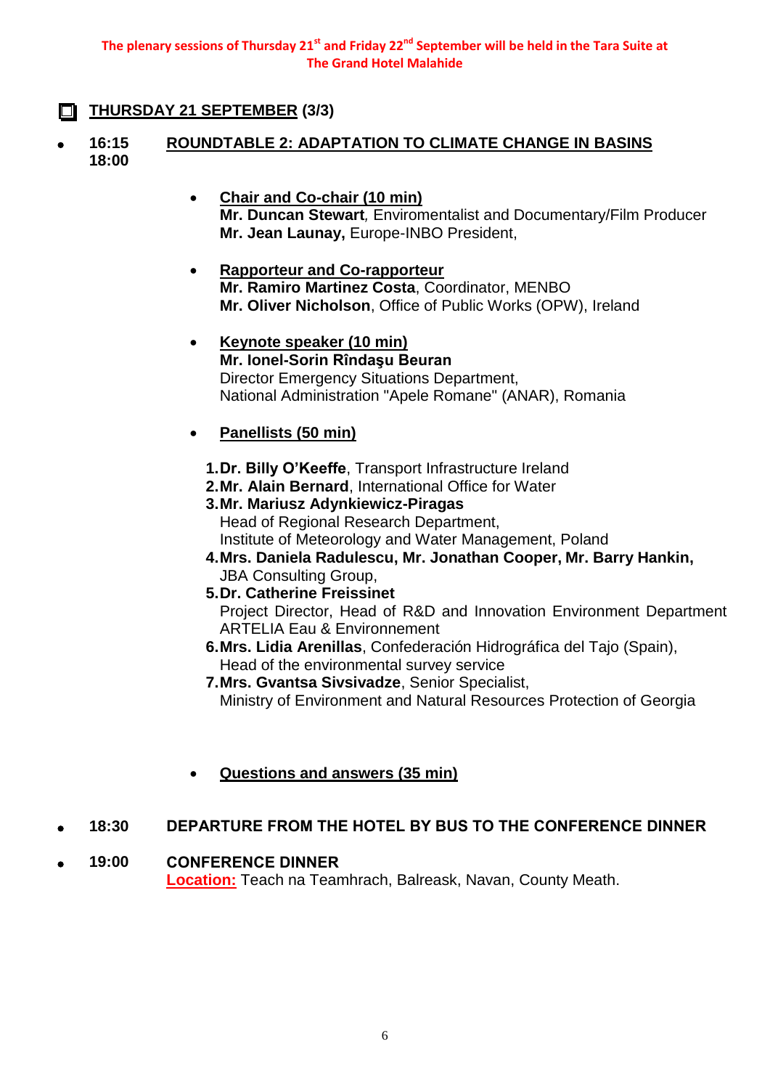### **THURSDAY 21 SEPTEMBER (3/3)**

- **16:15 18:00 ROUNDTABLE 2: ADAPTATION TO CLIMATE CHANGE IN BASINS**
	- **Chair and Co-chair (10 min) Mr. Duncan Stewart***,* Enviromentalist and Documentary/Film Producer **Mr. Jean Launay,** Europe-INBO President,
	- **Rapporteur and Co-rapporteur Mr. Ramiro Martinez Costa**, Coordinator, MENBO **Mr. Oliver Nicholson**, Office of Public Works (OPW), Ireland
	- **Keynote speaker (10 min) Mr. Ionel-Sorin Rîndaşu Beuran** Director Emergency Situations Department, National Administration "Apele Romane" (ANAR), Romania

### **Panellists (50 min)**

- **1.Dr. Billy O'Keeffe**, Transport Infrastructure Ireland
- **2.Mr. Alain Bernard**, International Office for Water
- **3.Mr. Mariusz Adynkiewicz-Piragas**  Head of Regional Research Department, Institute of Meteorology and Water Management, Poland **4.Mrs. Daniela Radulescu, Mr. Jonathan Cooper, Mr. Barry Hankin,**
- JBA Consulting Group,
- **5.Dr. Catherine Freissinet** Project Director, Head of R&D and Innovation Environment Department ARTELIA Eau & Environnement
- **6.Mrs. Lidia Arenillas**, Confederación Hidrográfica del Tajo (Spain), Head of the environmental survey service
- **7.Mrs. Gvantsa Sivsivadze**, Senior Specialist, Ministry of Environment and Natural Resources Protection of Georgia
- **Questions and answers (35 min)**

### **18:30 DEPARTURE FROM THE HOTEL BY BUS TO THE CONFERENCE DINNER**

### **19:00 CONFERENCE DINNER**

**Location:** Teach na Teamhrach, Balreask, Navan, County Meath.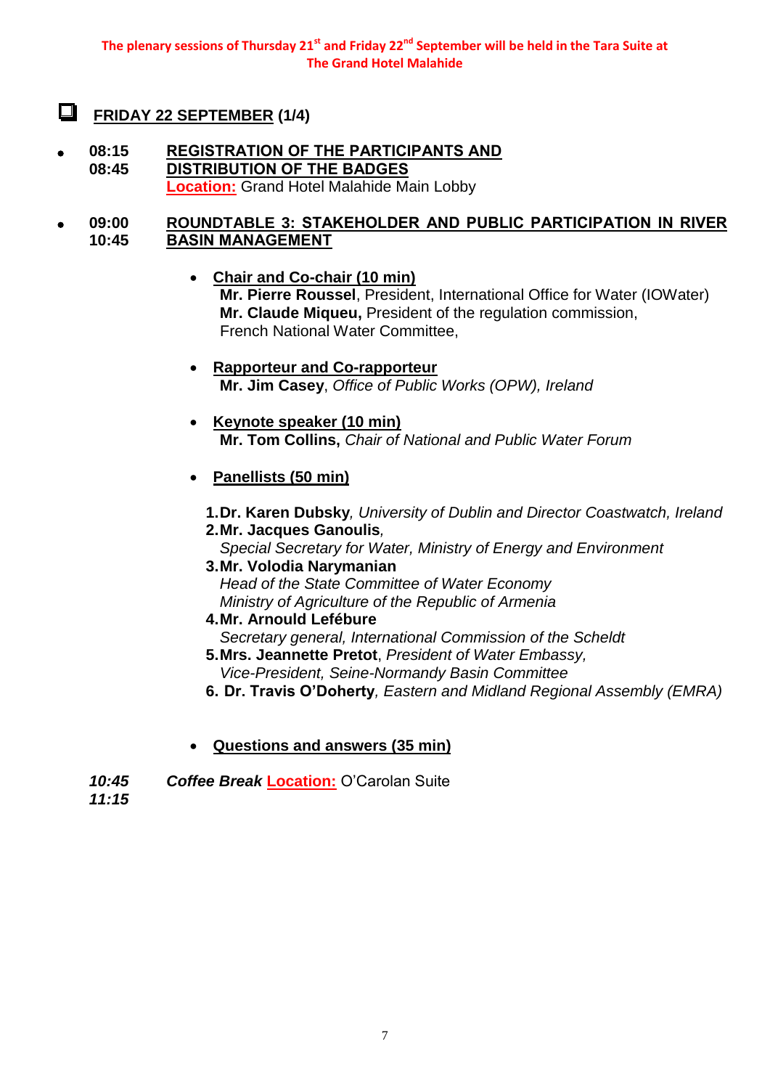#### $\Box$ **FRIDAY 22 SEPTEMBER (1/4)**

 **08:15 08:45 REGISTRATION OF THE PARTICIPANTS AND DISTRIBUTION OF THE BADGES Location:** Grand Hotel Malahide Main Lobby

#### **09:00 10:45 ROUNDTABLE 3: STAKEHOLDER AND PUBLIC PARTICIPATION IN RIVER BASIN MANAGEMENT**

- **Chair and Co-chair (10 min) Mr. Pierre Roussel**, President, International Office for Water (IOWater) **Mr. Claude Miqueu,** President of the regulation commission, French National Water Committee,
- **Rapporteur and Co-rapporteur Mr. Jim Casey**, *Office of Public Works (OPW), Ireland*
- **Keynote speaker (10 min) Mr. Tom Collins,** *Chair of National and Public Water Forum*

### **Panellists (50 min)**

**1.Dr. Karen Dubsky***, University of Dublin and Director Coastwatch, Ireland* **2.Mr. Jacques Ganoulis***,* 

*Special Secretary for Water, Ministry of Energy and Environment*

- **3.Mr. Volodia Narymanian** *Head of the State Committee of Water Economy Ministry of Agriculture of the Republic of Armenia*
- **4.Mr. Arnould Lefébure** *Secretary general, International Commission of the Scheldt*
- **5.Mrs. Jeannette Pretot**, *President of Water Embassy, Vice-President, Seine-Normandy Basin Committee*
- **6. Dr. Travis O'Doherty***, Eastern and Midland Regional Assembly (EMRA)*
- **Questions and answers (35 min)**
- *10:45 Coffee Break* **Location:** O'Carolan Suite

*11:15*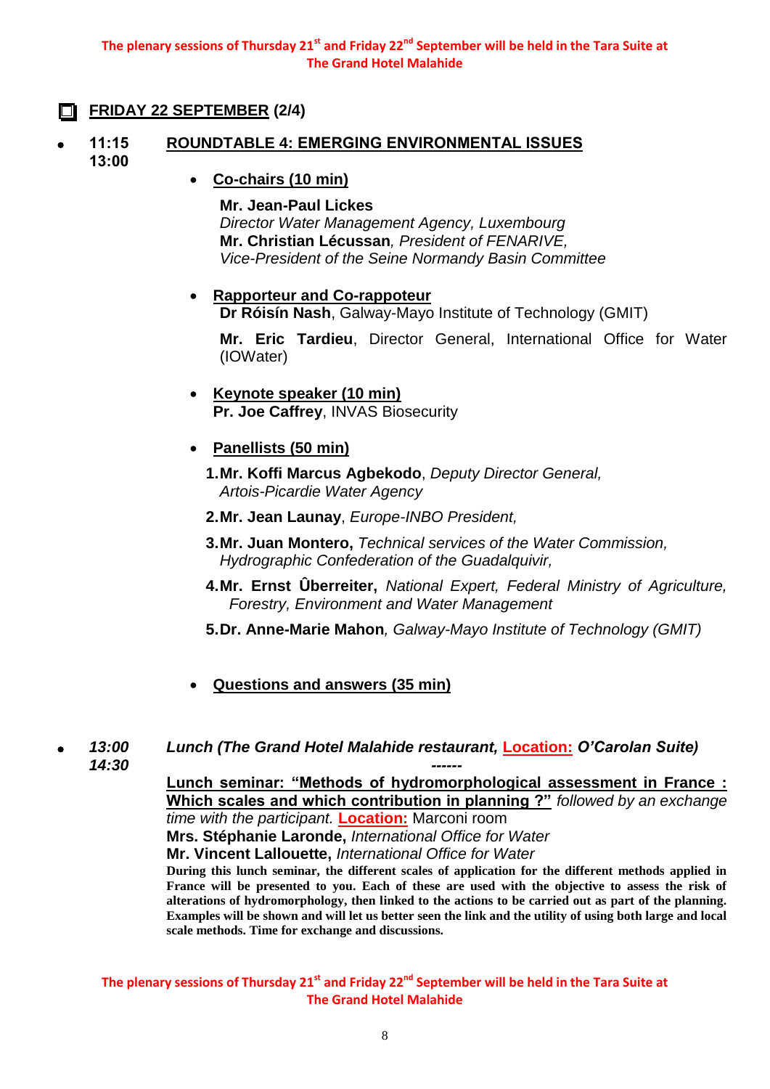### **FRIDAY 22 SEPTEMBER (2/4)**

- **11:15 13:00 ROUNDTABLE 4: EMERGING ENVIRONMENTAL ISSUES**
	- **Co-chairs (10 min)**

**Mr. Jean-Paul Lickes** *Director Water Management Agency, Luxembourg* **Mr. Christian Lécussan***, President of FENARIVE, Vice-President of the Seine Normandy Basin Committee*

#### **Rapporteur and Co-rappoteur**

**Dr Róisín Nash**, Galway-Mayo Institute of Technology (GMIT)

**Mr. Eric Tardieu**, Director General, International Office for Water (IOWater)

- **Keynote speaker (10 min) Pr. Joe Caffrey**, INVAS Biosecurity
- **Panellists (50 min)**
	- **1.Mr. Koffi Marcus Agbekodo**, *Deputy Director General, Artois-Picardie Water Agency*
	- **2.Mr. Jean Launay**, *Europe-INBO President,*
	- **3.Mr. Juan Montero,** *Technical services of the Water Commission, Hydrographic Confederation of the Guadalquivir,*
	- **4.Mr. Ernst Ûberreiter,** *National Expert, Federal Ministry of Agriculture, Forestry, Environment and Water Management*
	- **5.Dr. Anne-Marie Mahon***, Galway-Mayo Institute of Technology (GMIT)*
- **Questions and answers (35 min)**

#### *13:00 Lunch (The Grand Hotel Malahide restaurant,* **Location:** *O'Carolan Suite)*

*14:30*

**Lunch seminar: "Methods of hydromorphological assessment in France : Which scales and which contribution in planning ?"** *followed by an exchange* 

*------*

*time with the participant.* **Location:** Marconi room

**Mrs. Stéphanie Laronde,** *International Office for Water* **Mr. Vincent Lallouette,** *International Office for Water* 

**During this lunch seminar, the different scales of application for the different methods applied in France will be presented to you. Each of these are used with the objective to assess the risk of alterations of hydromorphology, then linked to the actions to be carried out as part of the planning. Examples will be shown and will let us better seen the link and the utility of using both large and local scale methods. Time for exchange and discussions.**

**The plenary sessions of Thursday 21st and Friday 22nd September will be held in the Tara Suite at The Grand Hotel Malahide**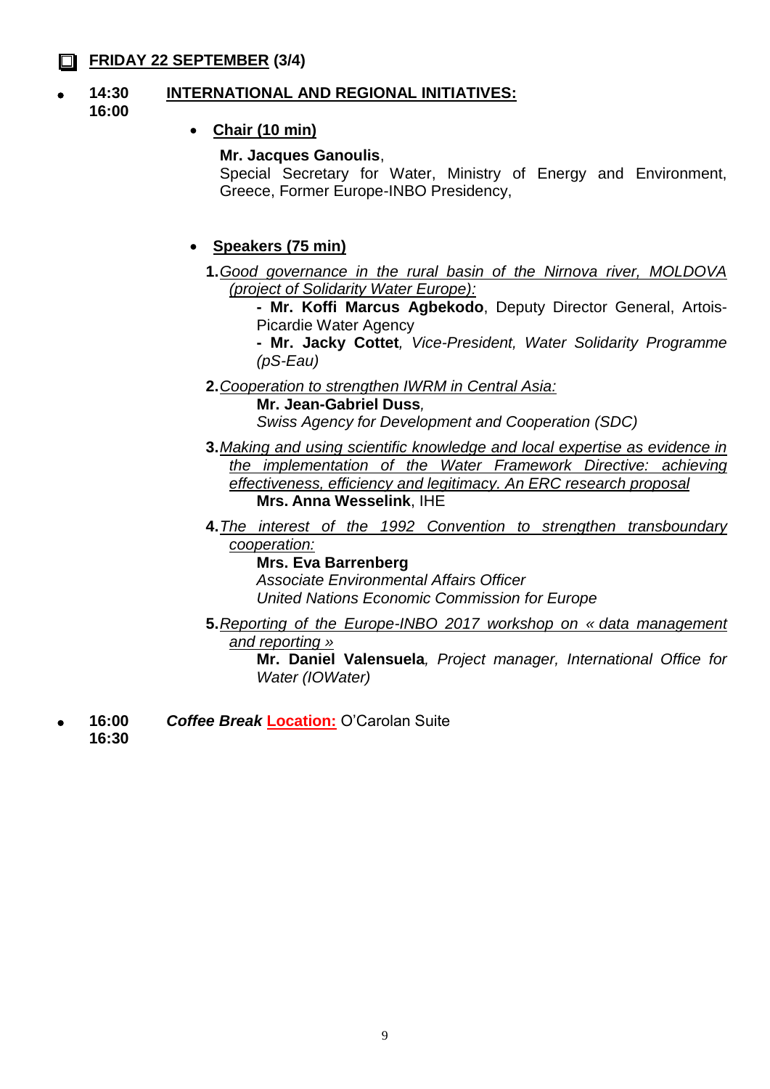### **FRIDAY 22 SEPTEMBER (3/4)**

#### **14:30 INTERNATIONAL AND REGIONAL INITIATIVES:**

**16:00**

### **Chair (10 min)**

#### **Mr. Jacques Ganoulis**,

Special Secretary for Water, Ministry of Energy and Environment, Greece, Former Europe-INBO Presidency,

### **Speakers (75 min)**

**1.***Good governance in the rural basin of the Nirnova river, MOLDOVA (project of Solidarity Water Europe):*

**- Mr. Koffi Marcus Agbekodo**, Deputy Director General, Artois-Picardie Water Agency

**- Mr. Jacky Cottet***, Vice-President, Water Solidarity Programme (pS-Eau)*

**2.***Cooperation to strengthen IWRM in Central Asia:*

**Mr. Jean-Gabriel Duss***, Swiss Agency for Development and Cooperation (SDC)*

- **3.***Making and using scientific knowledge and local expertise as evidence in the implementation of the Water Framework Directive: achieving effectiveness, efficiency and legitimacy. An ERC research proposal* **Mrs. Anna Wesselink**, IHE
- **4.***The interest of the 1992 Convention to strengthen transboundary cooperation:*

**Mrs. Eva Barrenberg** *Associate Environmental Affairs Officer United Nations Economic Commission for Europe*

**5.***Reporting of the Europe-INBO 2017 workshop on « data management and reporting »*

**Mr. Daniel Valensuela***, Project manager, International Office for Water (IOWater)*

 **16:00** *Coffee Break* **Location:** O'Carolan Suite

**16:30**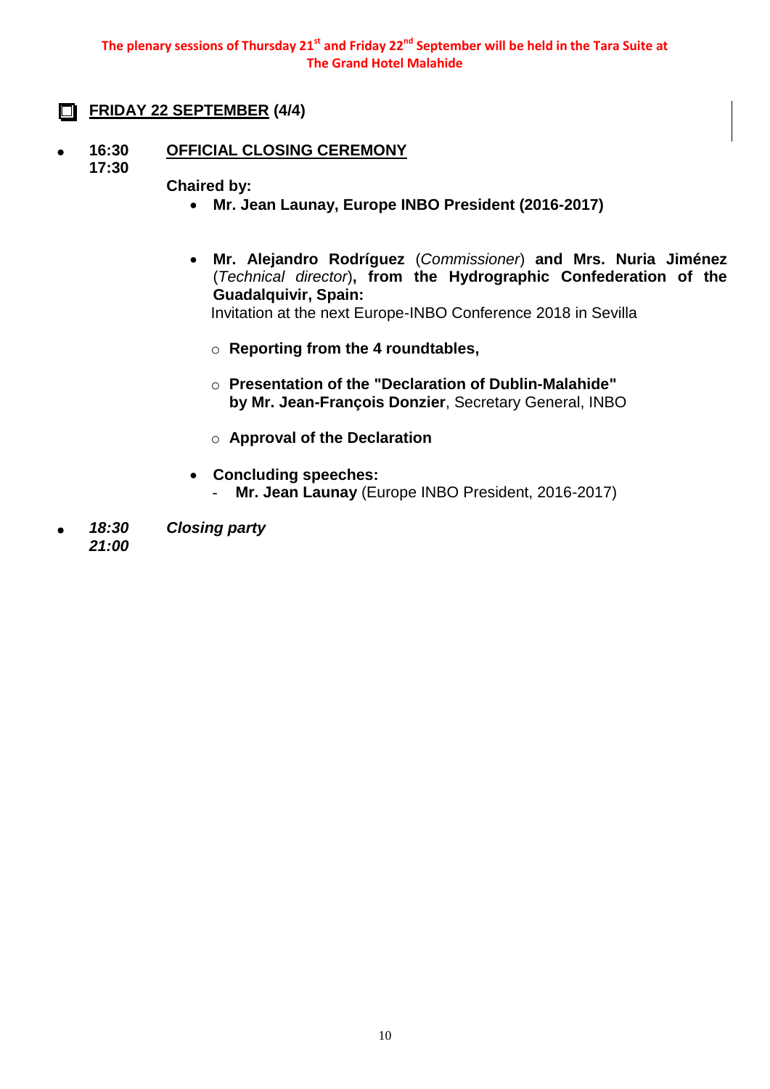**The plenary sessions of Thursday 21st and Friday 22nd September will be held in the Tara Suite at The Grand Hotel Malahide**

- **FRIDAY 22 SEPTEMBER (4/4)**
- **16:30 OFFICIAL CLOSING CEREMONY**
	- **17:30**
- 
- **Chaired by:** 
	- **Mr. Jean Launay, Europe INBO President (2016-2017)**
	- **Mr. Alejandro Rodríguez** (*Commissioner*) **and Mrs. Nuria Jiménez** (*Technical director*)**, from the Hydrographic Confederation of the Guadalquivir, Spain:**  Invitation at the next Europe-INBO Conference 2018 in Sevilla
		- o **Reporting from the 4 roundtables,**
		- o **Presentation of the "Declaration of Dublin-Malahide" by Mr. Jean-François Donzier**, Secretary General, INBO
		- o **Approval of the Declaration**
	- **Concluding speeches:**
		- Mr. Jean Launay (Europe INBO President, 2016-2017)
- *18:30 21:00 Closing party*